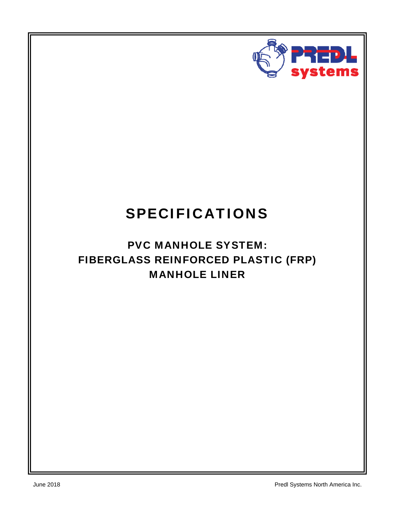

# SPECIFICATIONS

# PVC MANHOLE SYSTEM: FIBERGLASS REINFORCED PLASTIC (FRP) MANHOLE LINER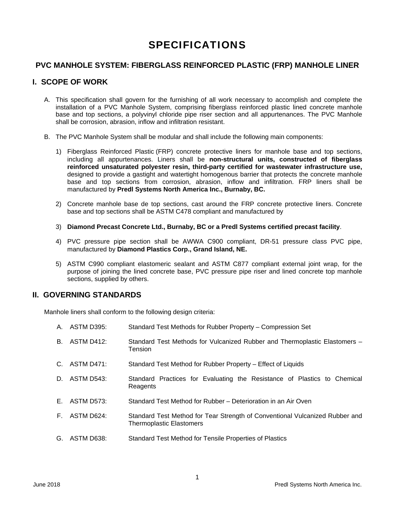# SPECIFICATIONS

#### **PVC MANHOLE SYSTEM: FIBERGLASS REINFORCED PLASTIC (FRP) MANHOLE LINER**

# **I. SCOPE OF WORK**

- A. This specification shall govern for the furnishing of all work necessary to accomplish and complete the installation of a PVC Manhole System, comprising fiberglass reinforced plastic lined concrete manhole base and top sections, a polyvinyl chloride pipe riser section and all appurtenances. The PVC Manhole shall be corrosion, abrasion, inflow and infiltration resistant.
- B. The PVC Manhole System shall be modular and shall include the following main components:
	- 1) Fiberglass Reinforced Plastic (FRP) concrete protective liners for manhole base and top sections, including all appurtenances. Liners shall be **non-structural units, constructed of fiberglass reinforced unsaturated polyester resin, third-party certified for wastewater infrastructure use,**  designed to provide a gastight and watertight homogenous barrier that protects the concrete manhole base and top sections from corrosion, abrasion, inflow and infiltration. FRP liners shall be manufactured by **Predl Systems North America Inc., Burnaby, BC.**
	- 2) Concrete manhole base de top sections, cast around the FRP concrete protective liners. Concrete base and top sections shall be ASTM C478 compliant and manufactured by
	- 3) **Diamond Precast Concrete Ltd., Burnaby, BC or a Predl Systems certified precast facility**.
	- 4) PVC pressure pipe section shall be AWWA C900 compliant, DR-51 pressure class PVC pipe, manufactured by **Diamond Plastics Corp., Grand Island, NE.**
	- 5) ASTM C990 compliant elastomeric sealant and ASTM C877 compliant external joint wrap, for the purpose of joining the lined concrete base, PVC pressure pipe riser and lined concrete top manhole sections, supplied by others.

#### **II. GOVERNING STANDARDS**

Manhole liners shall conform to the following design criteria:

- A. ASTM D395: Standard Test Methods for Rubber Property Compression Set
- B. ASTM D412: Standard Test Methods for Vulcanized Rubber and Thermoplastic Elastomers **Tension**
- C. ASTM D471: Standard Test Method for Rubber Property Effect of Liquids
- D. ASTM D543: Standard Practices for Evaluating the Resistance of Plastics to Chemical **Reagents**
- E. ASTM D573: Standard Test Method for Rubber Deterioration in an Air Oven
- F. ASTM D624: Standard Test Method for Tear Strength of Conventional Vulcanized Rubber and Thermoplastic Elastomers
- G. ASTM D638: Standard Test Method for Tensile Properties of Plastics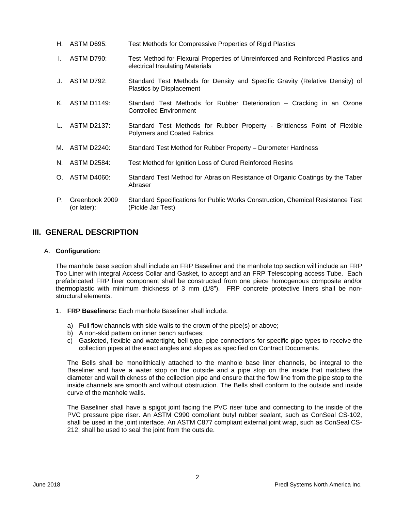- H. ASTM D695: Test Methods for Compressive Properties of Rigid Plastics
- I. ASTM D790: Test Method for Flexural Properties of Unreinforced and Reinforced Plastics and electrical Insulating Materials
- J. ASTM D792: Standard Test Methods for Density and Specific Gravity (Relative Density) of Plastics by Displacement
- K. ASTM D1149: Standard Test Methods for Rubber Deterioration Cracking in an Ozone Controlled Environment
- L. ASTM D2137: Standard Test Methods for Rubber Property Brittleness Point of Flexible Polymers and Coated Fabrics
- M. ASTM D2240: Standard Test Method for Rubber Property Durometer Hardness
- N. ASTM D2584: Test Method for Ignition Loss of Cured Reinforced Resins
- O. ASTM D4060: Standard Test Method for Abrasion Resistance of Organic Coatings by the Taber Abraser
- P. Greenbook 2009 (or later): Standard Specifications for Public Works Construction, Chemical Resistance Test (Pickle Jar Test)

# **III. GENERAL DESCRIPTION**

#### A. **Configuration:**

The manhole base section shall include an FRP Baseliner and the manhole top section will include an FRP Top Liner with integral Access Collar and Gasket, to accept and an FRP Telescoping access Tube. Each prefabricated FRP liner component shall be constructed from one piece homogenous composite and/or thermoplastic with minimum thickness of 3 mm (1/8"). FRP concrete protective liners shall be nonstructural elements.

- 1. **FRP Baseliners:** Each manhole Baseliner shall include:
	- a) Full flow channels with side walls to the crown of the pipe(s) or above;
	- b) A non-skid pattern on inner bench surfaces;
	- c) Gasketed, flexible and watertight, bell type, pipe connections for specific pipe types to receive the collection pipes at the exact angles and slopes as specified on Contract Documents.

The Bells shall be monolithically attached to the manhole base liner channels, be integral to the Baseliner and have a water stop on the outside and a pipe stop on the inside that matches the diameter and wall thickness of the collection pipe and ensure that the flow line from the pipe stop to the inside channels are smooth and without obstruction. The Bells shall conform to the outside and inside curve of the manhole walls.

The Baseliner shall have a spigot joint facing the PVC riser tube and connecting to the inside of the PVC pressure pipe riser. An ASTM C990 compliant butyl rubber sealant, such as ConSeal CS-102, shall be used in the joint interface. An ASTM C877 compliant external joint wrap, such as ConSeal CS-212, shall be used to seal the joint from the outside.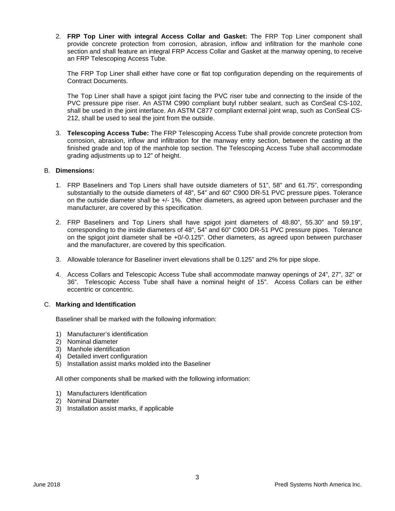2. **FRP Top Liner with integral Access Collar and Gasket:** The FRP Top Liner component shall provide concrete protection from corrosion, abrasion, inflow and infiltration for the manhole cone section and shall feature an integral FRP Access Collar and Gasket at the manway opening, to receive an FRP Telescoping Access Tube.

The FRP Top Liner shall either have cone or flat top configuration depending on the requirements of Contract Documents.

The Top Liner shall have a spigot joint facing the PVC riser tube and connecting to the inside of the PVC pressure pipe riser. An ASTM C990 compliant butyl rubber sealant, such as ConSeal CS-102, shall be used in the joint interface. An ASTM C877 compliant external joint wrap, such as ConSeal CS-212, shall be used to seal the joint from the outside.

3. **Telescoping Access Tube:** The FRP Telescoping Access Tube shall provide concrete protection from corrosion, abrasion, inflow and infiltration for the manway entry section, between the casting at the finished grade and top of the manhole top section. The Telescoping Access Tube shall accommodate grading adjustments up to 12" of height.

#### B. **Dimensions:**

- 1. FRP Baseliners and Top Liners shall have outside diameters of 51", 58" and 61.75", corresponding substantially to the outside diameters of 48", 54" and 60" C900 DR-51 PVC pressure pipes. Tolerance on the outside diameter shall be +/- 1%. Other diameters, as agreed upon between purchaser and the manufacturer, are covered by this specification.
- 2. FRP Baseliners and Top Liners shall have spigot joint diameters of 48.80", 55.30" and 59.19", corresponding to the inside diameters of 48", 54" and 60" C900 DR-51 PVC pressure pipes. Tolerance on the spigot joint diameter shall be +0/-0.125". Other diameters, as agreed upon between purchaser and the manufacturer, are covered by this specification.
- 3. Allowable tolerance for Baseliner invert elevations shall be 0.125" and 2% for pipe slope.
- 4. Access Collars and Telescopic Access Tube shall accommodate manway openings of 24", 27", 32" or 36". Telescopic Access Tube shall have a nominal height of 15". Access Collars can be either eccentric or concentric.

#### C. **Marking and Identification**

Baseliner shall be marked with the following information:

- 1) Manufacturer's identification
- 2) Nominal diameter
- 3) Manhole identification
- 4) Detailed invert configuration
- 5) Installation assist marks molded into the Baseliner

All other components shall be marked with the following information:

- 1) Manufacturers Identification
- 2) Nominal Diameter
- 3) Installation assist marks, if applicable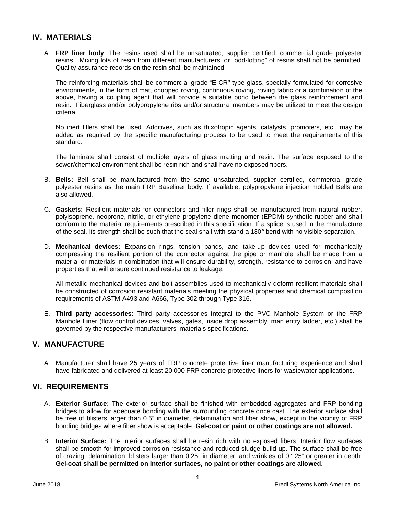#### **IV. MATERIALS**

A. **FRP liner body**: The resins used shall be unsaturated, supplier certified, commercial grade polyester resins. Mixing lots of resin from different manufacturers, or "odd-lotting" of resins shall not be permitted*.* Quality-assurance records on the resin shall be maintained.

The reinforcing materials shall be commercial grade "E-CR" type glass, specially formulated for corrosive environments, in the form of mat, chopped roving, continuous roving, roving fabric or a combination of the above, having a coupling agent that will provide a suitable bond between the glass reinforcement and resin. Fiberglass and/or polypropylene ribs and/or structural members may be utilized to meet the design criteria.

No inert fillers shall be used. Additives, such as thixotropic agents, catalysts, promoters, etc., may be added as required by the specific manufacturing process to be used to meet the requirements of this standard.

The laminate shall consist of multiple layers of glass matting and resin. The surface exposed to the sewer/chemical environment shall be resin rich and shall have no exposed fibers.

- B. **Bells:** Bell shall be manufactured from the same unsaturated, supplier certified, commercial grade polyester resins as the main FRP Baseliner body. If available, polypropylene injection molded Bells are also allowed.
- C. **Gaskets:** Resilient materials for connectors and filler rings shall be manufactured from natural rubber, polyisoprene, neoprene, nitrile, or ethylene propylene diene monomer (EPDM) synthetic rubber and shall conform to the material requirements prescribed in this specification. If a splice is used in the manufacture of the seal, its strength shall be such that the seal shall with-stand a 180° bend with no visible separation.
- D. **Mechanical devices:** Expansion rings, tension bands, and take-up devices used for mechanically compressing the resilient portion of the connector against the pipe or manhole shall be made from a material or materials in combination that will ensure durability, strength, resistance to corrosion, and have properties that will ensure continued resistance to leakage.

All metallic mechanical devices and bolt assemblies used to mechanically deform resilient materials shall be constructed of corrosion resistant materials meeting the physical properties and chemical composition requirements of ASTM A493 and A666, Type 302 through Type 316.

E. **Third party accessories**: Third party accessories integral to the PVC Manhole System or the FRP Manhole Liner (flow control devices, valves, gates, inside drop assembly, man entry ladder, etc.) shall be governed by the respective manufacturers' materials specifications.

### **V. MANUFACTURE**

A. Manufacturer shall have 25 years of FRP concrete protective liner manufacturing experience and shall have fabricated and delivered at least 20,000 FRP concrete protective liners for wastewater applications.

### **VI. REQUIREMENTS**

- A. **Exterior Surface:** The exterior surface shall be finished with embedded aggregates and FRP bonding bridges to allow for adequate bonding with the surrounding concrete once cast. The exterior surface shall be free of blisters larger than 0.5" in diameter, delamination and fiber show, except in the vicinity of FRP bonding bridges where fiber show is acceptable. **Gel-coat or paint or other coatings are not allowed.**
- B. **Interior Surface:** The interior surfaces shall be resin rich with no exposed fibers. Interior flow surfaces shall be smooth for improved corrosion resistance and reduced sludge build-up. The surface shall be free of crazing, delamination, blisters larger than 0.25" in diameter, and wrinkles of 0.125" or greater in depth. **Gel-coat shall be permitted on interior surfaces, no paint or other coatings are allowed.**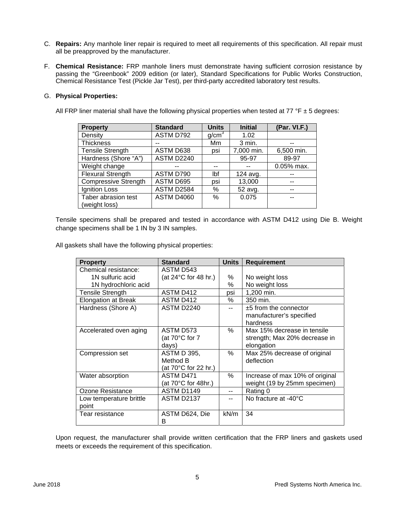- C. **Repairs:** Any manhole liner repair is required to meet all requirements of this specification. All repair must all be preapproved by the manufacturer.
- F. **Chemical Resistance:** FRP manhole liners must demonstrate having sufficient corrosion resistance by passing the "Greenbook" 2009 edition (or later), Standard Specifications for Public Works Construction, Chemical Resistance Test (Pickle Jar Test), per third-party accredited laboratory test results.

#### G. **Physical Properties:**

All FRP liner material shall have the following physical properties when tested at 77  $\degree$ F ± 5 degrees:

| <b>Property</b>             | <b>Standard</b>   | <b>Units</b>      | <b>Initial</b> | (Par. VI.F.) |
|-----------------------------|-------------------|-------------------|----------------|--------------|
| Density                     | ASTM D792         | g/cm <sup>3</sup> | 1.02           |              |
| <b>Thickness</b>            | --                | Mm                | 3 min.         |              |
| <b>Tensile Strength</b>     | ASTM D638         | psi               | 7,000 min.     | 6,500 min.   |
| Hardness (Shore "A")        | <b>ASTM D2240</b> |                   | 95-97          | 89-97        |
| Weight change               |                   |                   |                | 0.05% max.   |
| <b>Flexural Strength</b>    | ASTM D790         | Ibf               | 124 avg.       |              |
| <b>Compressive Strength</b> | ASTM D695         | psi               | 13,000         | $-$          |
| Ignition Loss               | ASTM D2584        | %                 | 52 avg.        |              |
| Taber abrasion test         | <b>ASTM D4060</b> | $\%$              | 0.075          |              |
| (weight loss)               |                   |                   |                |              |

Tensile specimens shall be prepared and tested in accordance with ASTM D412 using Die B. Weight change specimens shall be 1 IN by 3 IN samples.

All gaskets shall have the following physical properties:

| <b>Property</b>            | <b>Standard</b>                | <b>Units</b> | <b>Requirement</b>              |
|----------------------------|--------------------------------|--------------|---------------------------------|
| Chemical resistance:       | ASTM D543                      |              |                                 |
| 1N sulfuric acid           | (at $24^{\circ}$ C for 48 hr.) | $\%$         | No weight loss                  |
| 1N hydrochloric acid       |                                | ℅            | No weight loss                  |
| <b>Tensile Strength</b>    | ASTM D412                      | psi          | 1,200 min.                      |
| <b>Elongation at Break</b> | ASTM D412                      | %            | 350 min.                        |
| Hardness (Shore A)         | ASTM D2240                     | $-$          | ±5 from the connector           |
|                            |                                |              | manufacturer's specified        |
|                            |                                |              | hardness                        |
| Accelerated oven aging     | ASTM D573                      | $\%$         | Max 15% decrease in tensile     |
|                            | (at 70°C for 7                 |              | strength; Max 20% decrease in   |
|                            | days)                          |              | elongation                      |
| Compression set            | <b>ASTM D 395,</b>             | $\%$         | Max 25% decrease of original    |
|                            | Method B                       |              | deflection                      |
|                            | (at 70°C for 22 hr.)           |              |                                 |
| Water absorption           | ASTM D471                      | $\%$         | Increase of max 10% of original |
|                            | (at $70^{\circ}$ C for 48hr.)  |              | weight (19 by 25mm specimen)    |
| Ozone Resistance           | ASTM D1149                     | $-$          | Rating 0                        |
| Low temperature brittle    | <b>ASTM D2137</b>              | $-$          | No fracture at -40°C            |
| point                      |                                |              |                                 |
| Tear resistance            | ASTM D624, Die                 | kN/m         | 34                              |
|                            | B                              |              |                                 |

Upon request, the manufacturer shall provide written certification that the FRP liners and gaskets used meets or exceeds the requirement of this specification.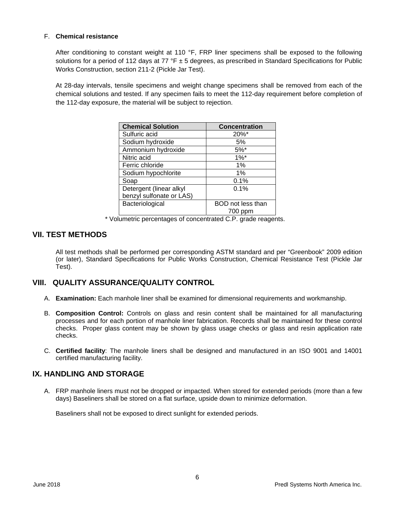#### F. **Chemical resistance**

After conditioning to constant weight at 110 °F, FRP liner specimens shall be exposed to the following solutions for a period of 112 days at 77  $\textdegree$   $\textdegree$  ± 5 degrees, as prescribed in Standard Specifications for Public Works Construction, section 211-2 (Pickle Jar Test).

At 28-day intervals, tensile specimens and weight change specimens shall be removed from each of the chemical solutions and tested. If any specimen fails to meet the 112-day requirement before completion of the 112-day exposure, the material will be subject to rejection.

| <b>Chemical Solution</b> | <b>Concentration</b> |  |
|--------------------------|----------------------|--|
| Sulfuric acid            | $20\%$ *             |  |
| Sodium hydroxide         | 5%                   |  |
| Ammonium hydroxide       | $5%^*$               |  |
| Nitric acid              | $1\%$ *              |  |
| Ferric chloride          | 1%                   |  |
| Sodium hypochlorite      | 1%                   |  |
| Soap                     | 0.1%                 |  |
| Detergent (linear alkyl  | 0.1%                 |  |
| benzyl sulfonate or LAS) |                      |  |
| Bacteriological          | BOD not less than    |  |
|                          | 700 ppm              |  |

\* Volumetric percentages of concentrated C.P. grade reagents.

#### **VII. TEST METHODS**

All test methods shall be performed per corresponding ASTM standard and per "Greenbook" 2009 edition (or later), Standard Specifications for Public Works Construction, Chemical Resistance Test (Pickle Jar Test).

#### **VIII. QUALITY ASSURANCE/QUALITY CONTROL**

- A. **Examination:** Each manhole liner shall be examined for dimensional requirements and workmanship.
- B. **Composition Control:** Controls on glass and resin content shall be maintained for all manufacturing processes and for each portion of manhole liner fabrication. Records shall be maintained for these control checks. Proper glass content may be shown by glass usage checks or glass and resin application rate checks.
- C. **Certified facility**: The manhole liners shall be designed and manufactured in an ISO 9001 and 14001 certified manufacturing facility.

### **IX. HANDLING AND STORAGE**

A. FRP manhole liners must not be dropped or impacted. When stored for extended periods (more than a few days) Baseliners shall be stored on a flat surface, upside down to minimize deformation.

Baseliners shall not be exposed to direct sunlight for extended periods.